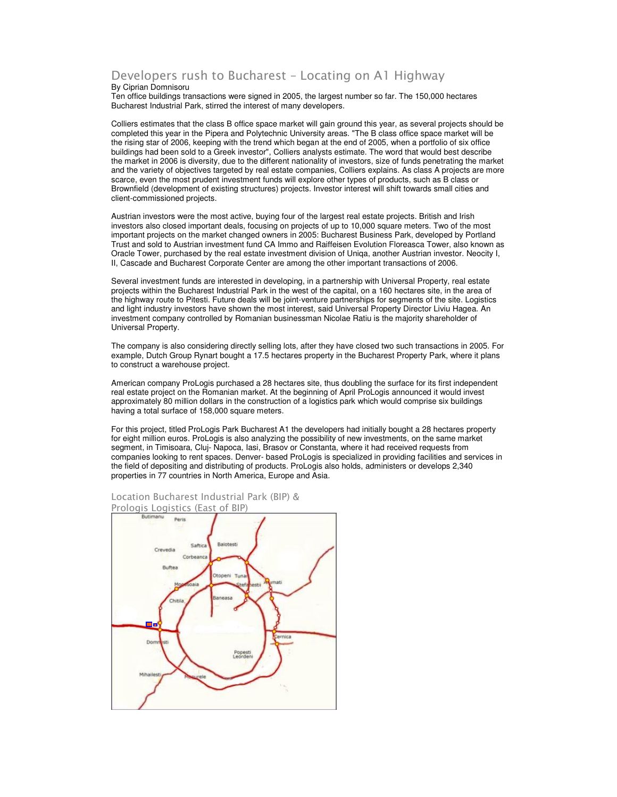## Developers rush to Bucharest – Locating on A1 Highway

By Ciprian Domnisoru

Ten office buildings transactions were signed in 2005, the largest number so far. The 150,000 hectares Bucharest Industrial Park, stirred the interest of many developers.

Colliers estimates that the class B office space market will gain ground this year, as several projects should be completed this year in the Pipera and Polytechnic University areas. "The B class office space market will be the rising star of 2006, keeping with the trend which began at the end of 2005, when a portfolio of six office buildings had been sold to a Greek investor", Colliers analysts estimate. The word that would best describe the market in 2006 is diversity, due to the different nationality of investors, size of funds penetrating the market and the variety of objectives targeted by real estate companies, Colliers explains. As class A projects are more scarce, even the most prudent investment funds will explore other types of products, such as B class or Brownfield (development of existing structures) projects. Investor interest will shift towards small cities and client-commissioned projects.

Austrian investors were the most active, buying four of the largest real estate projects. British and Irish investors also closed important deals, focusing on projects of up to 10,000 square meters. Two of the most important projects on the market changed owners in 2005: Bucharest Business Park, developed by Portland Trust and sold to Austrian investment fund CA Immo and Raiffeisen Evolution Floreasca Tower, also known as Oracle Tower, purchased by the real estate investment division of Uniqa, another Austrian investor. Neocity I, II, Cascade and Bucharest Corporate Center are among the other important transactions of 2006.

Several investment funds are interested in developing, in a partnership with Universal Property, real estate projects within the Bucharest Industrial Park in the west of the capital, on a 160 hectares site, in the area of the highway route to Pitesti. Future deals will be joint-venture partnerships for segments of the site. Logistics and light industry investors have shown the most interest, said Universal Property Director Liviu Hagea. An investment company controlled by Romanian businessman Nicolae Ratiu is the majority shareholder of Universal Property.

The company is also considering directly selling lots, after they have closed two such transactions in 2005. For example, Dutch Group Rynart bought a 17.5 hectares property in the Bucharest Property Park, where it plans to construct a warehouse project.

American company ProLogis purchased a 28 hectares site, thus doubling the surface for its first independent real estate project on the Romanian market. At the beginning of April ProLogis announced it would invest approximately 80 million dollars in the construction of a logistics park which would comprise six buildings having a total surface of 158,000 square meters.

For this project, titled ProLogis Park Bucharest A1 the developers had initially bought a 28 hectares property for eight million euros. ProLogis is also analyzing the possibility of new investments, on the same market segment, in Timisoara, Cluj- Napoca, Iasi, Brasov or Constanta, where it had received requests from companies looking to rent spaces. Denver- based ProLogis is specialized in providing facilities and services in the field of depositing and distributing of products. ProLogis also holds, administers or develops 2,340 properties in 77 countries in North America, Europe and Asia.

# Location Bucharest Industrial Park (BIP) &

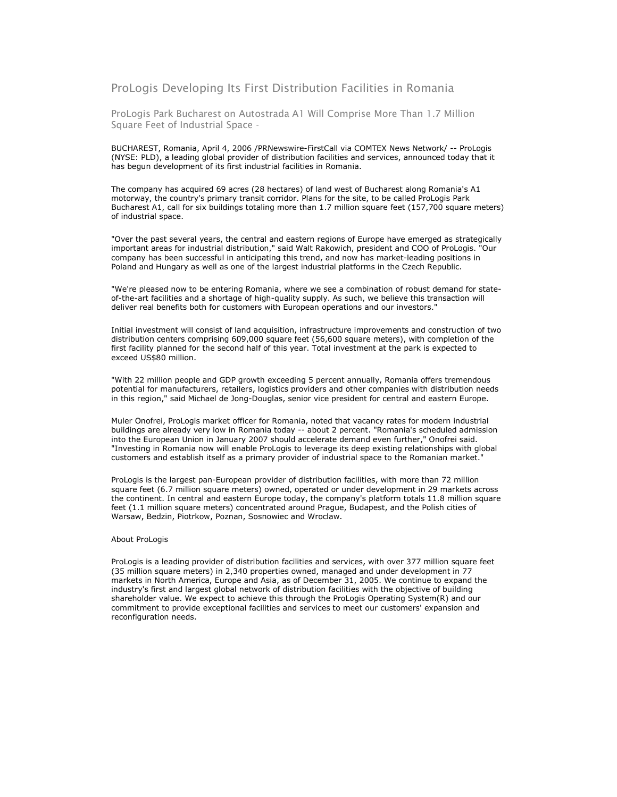## ProLogis Developing Its First Distribution Facilities in Romania

ProLogis Park Bucharest on Autostrada A1 Will Comprise More Than 1.7 Million Square Feet of Industrial Space -

BUCHAREST, Romania, April 4, 2006 /PRNewswire-FirstCall via COMTEX News Network/ -- ProLogis (NYSE: PLD), a leading global provider of distribution facilities and services, announced today that it has begun development of its first industrial facilities in Romania.

The company has acquired 69 acres (28 hectares) of land west of Bucharest along Romania's A1 motorway, the country's primary transit corridor. Plans for the site, to be called ProLogis Park Bucharest A1, call for six buildings totaling more than 1.7 million square feet (157,700 square meters) of industrial space.

"Over the past several years, the central and eastern regions of Europe have emerged as strategically important areas for industrial distribution," said Walt Rakowich, president and COO of ProLogis. "Our company has been successful in anticipating this trend, and now has market-leading positions in Poland and Hungary as well as one of the largest industrial platforms in the Czech Republic.

"We're pleased now to be entering Romania, where we see a combination of robust demand for stateof-the-art facilities and a shortage of high-quality supply. As such, we believe this transaction will deliver real benefits both for customers with European operations and our investors."

Initial investment will consist of land acquisition, infrastructure improvements and construction of two distribution centers comprising 609,000 square feet (56,600 square meters), with completion of the first facility planned for the second half of this year. Total investment at the park is expected to exceed US\$80 million.

"With 22 million people and GDP growth exceeding 5 percent annually, Romania offers tremendous potential for manufacturers, retailers, logistics providers and other companies with distribution needs in this region," said Michael de Jong-Douglas, senior vice president for central and eastern Europe.

Muler Onofrei, ProLogis market officer for Romania, noted that vacancy rates for modern industrial buildings are already very low in Romania today -- about 2 percent. "Romania's scheduled admission into the European Union in January 2007 should accelerate demand even further," Onofrei said. "Investing in Romania now will enable ProLogis to leverage its deep existing relationships with global customers and establish itself as a primary provider of industrial space to the Romanian market."

ProLogis is the largest pan-European provider of distribution facilities, with more than 72 million square feet (6.7 million square meters) owned, operated or under development in 29 markets across the continent. In central and eastern Europe today, the company's platform totals 11.8 million square feet (1.1 million square meters) concentrated around Prague, Budapest, and the Polish cities of Warsaw, Bedzin, Piotrkow, Poznan, Sosnowiec and Wroclaw.

#### About ProLogis

ProLogis is a leading provider of distribution facilities and services, with over 377 million square feet (35 million square meters) in 2,340 properties owned, managed and under development in 77 markets in North America, Europe and Asia, as of December 31, 2005. We continue to expand the industry's first and largest global network of distribution facilities with the objective of building shareholder value. We expect to achieve this through the ProLogis Operating System(R) and our commitment to provide exceptional facilities and services to meet our customers' expansion and reconfiguration needs.